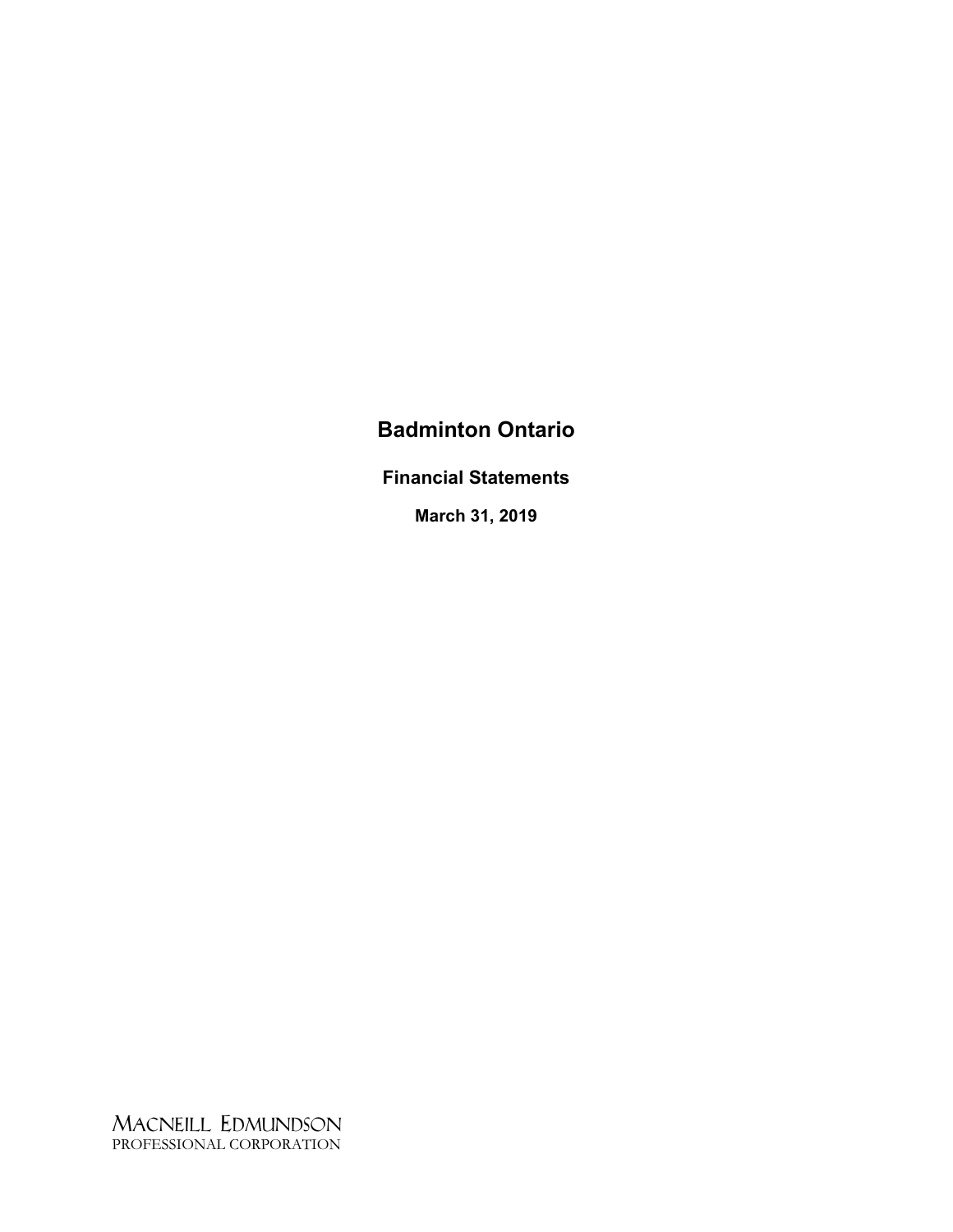**Financial Statements**

**March 31, 2019**

MACNEILL EDMUNDSON PROFESSIONAL CORPORATION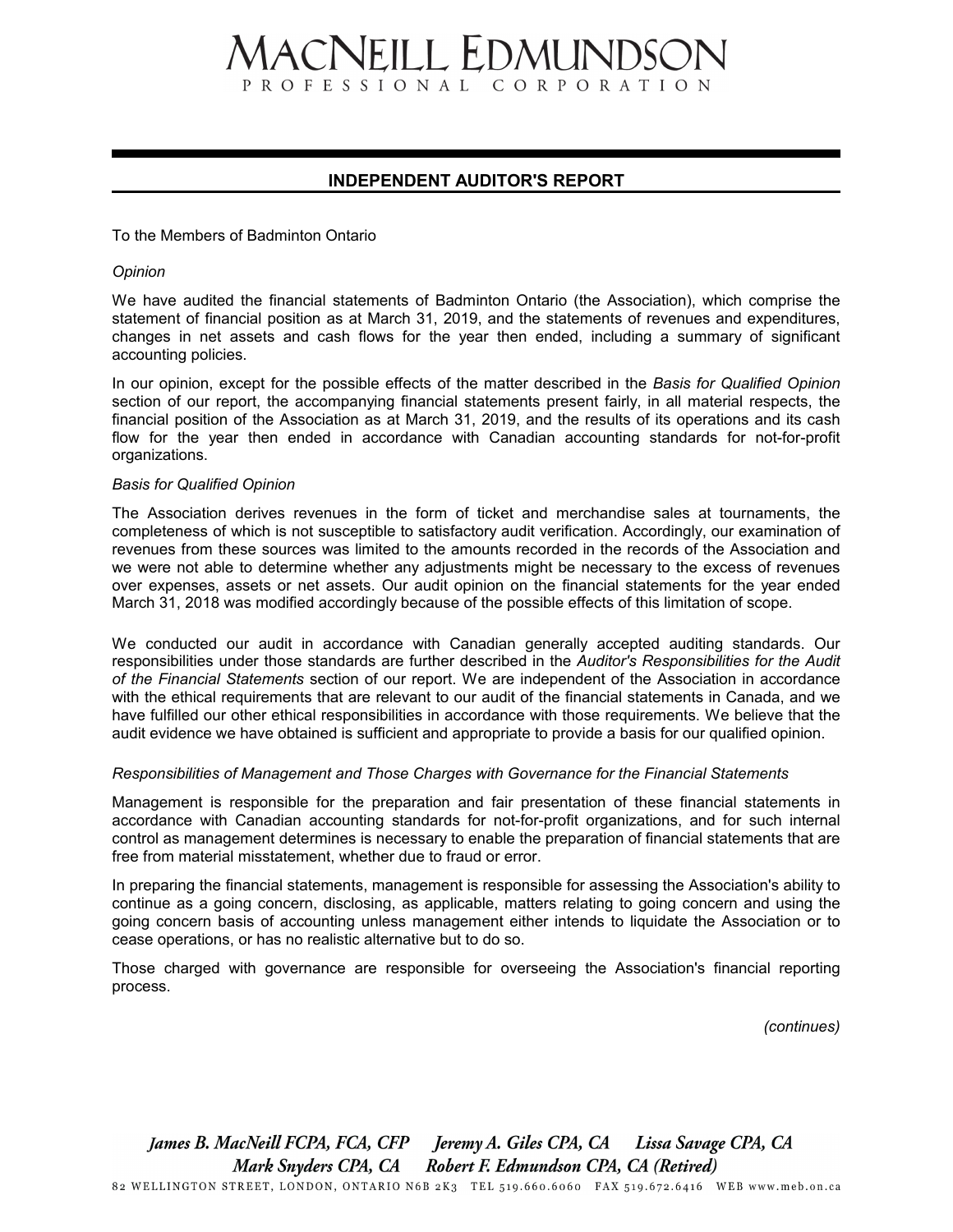# **IACNEILL EDMUNDSON** PROFESSIONAL CORPORATION

### **INDEPENDENT AUDITOR'S REPORT**

### To the Members of Badminton Ontario

#### *Opinion*

We have audited the financial statements of Badminton Ontario (the Association), which comprise the statement of financial position as at March 31, 2019, and the statements of revenues and expenditures, changes in net assets and cash flows for the year then ended, including a summary of significant accounting policies.

In our opinion, except for the possible effects of the matter described in the *Basis for Qualified Opinion* section of our report, the accompanying financial statements present fairly, in all material respects, the financial position of the Association as at March 31, 2019, and the results of its operations and its cash flow for the year then ended in accordance with Canadian accounting standards for not-for-profit organizations.

#### *Basis for Qualified Opinion*

The Association derives revenues in the form of ticket and merchandise sales at tournaments, the completeness of which is not susceptible to satisfactory audit verification. Accordingly, our examination of revenues from these sources was limited to the amounts recorded in the records of the Association and we were not able to determine whether any adjustments might be necessary to the excess of revenues over expenses, assets or net assets. Our audit opinion on the financial statements for the year ended March 31, 2018 was modified accordingly because of the possible effects of this limitation of scope.

We conducted our audit in accordance with Canadian generally accepted auditing standards. Our responsibilities under those standards are further described in the *Auditor's Responsibilities for the Audit of the Financial Statements* section of our report. We are independent of the Association in accordance with the ethical requirements that are relevant to our audit of the financial statements in Canada, and we have fulfilled our other ethical responsibilities in accordance with those requirements. We believe that the audit evidence we have obtained is sufficient and appropriate to provide a basis for our qualified opinion.

### *Responsibilities of Management and Those Charges with Governance for the Financial Statements*

Management is responsible for the preparation and fair presentation of these financial statements in accordance with Canadian accounting standards for not-for-profit organizations, and for such internal control as management determines is necessary to enable the preparation of financial statements that are free from material misstatement, whether due to fraud or error.

In preparing the financial statements, management is responsible for assessing the Association's ability to continue as a going concern, disclosing, as applicable, matters relating to going concern and using the going concern basis of accounting unless management either intends to liquidate the Association or to cease operations, or has no realistic alternative but to do so.

Those charged with governance are responsible for overseeing the Association's financial reporting process.

*(continues)*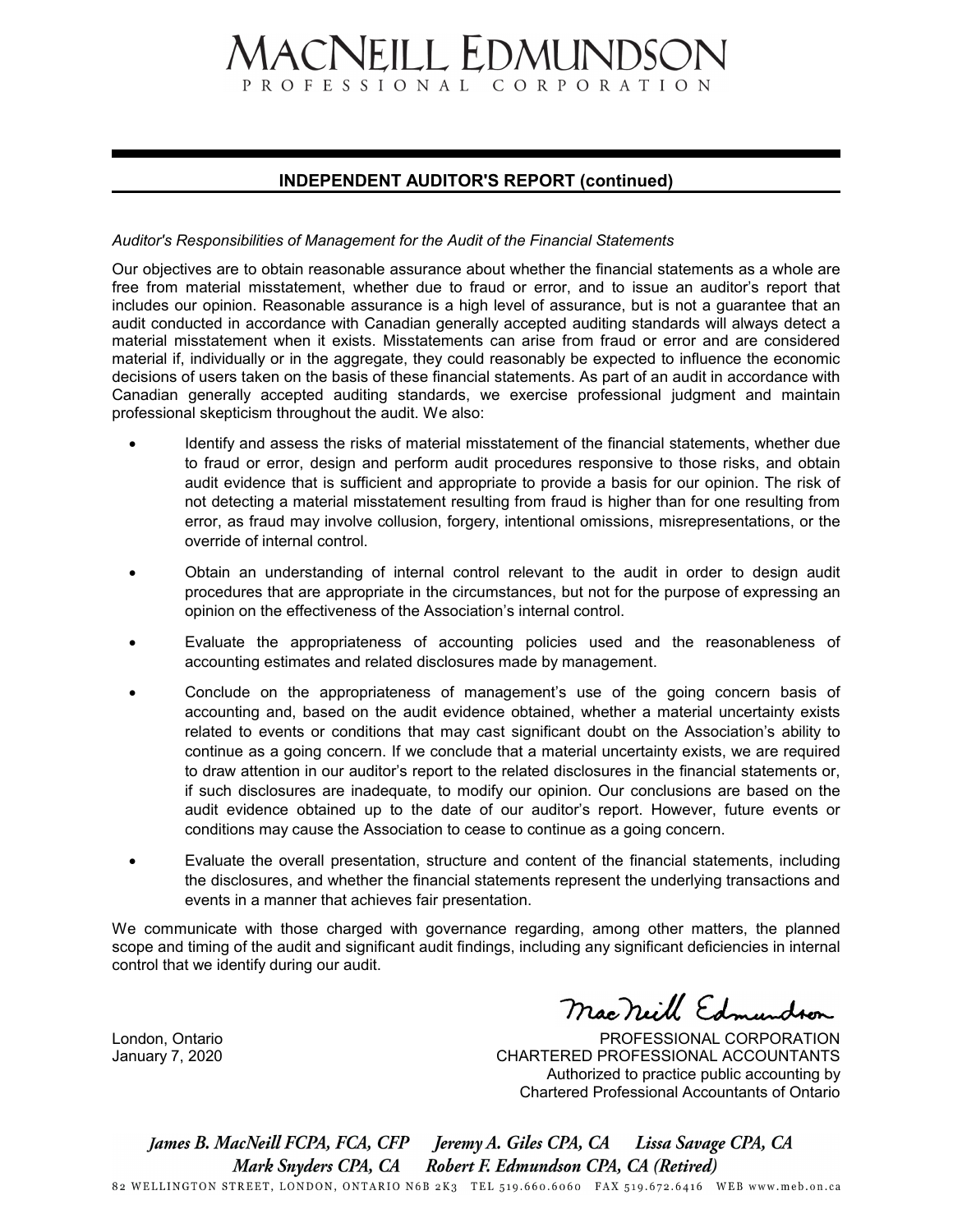# **1ACNEILL EDMUNDSON** PROFESSIONAL CORPORATION

### **INDEPENDENT AUDITOR'S REPORT (continued)**

### *Auditor's Responsibilities of Management for the Audit of the Financial Statements*

Our objectives are to obtain reasonable assurance about whether the financial statements as a whole are free from material misstatement, whether due to fraud or error, and to issue an auditor's report that includes our opinion. Reasonable assurance is a high level of assurance, but is not a guarantee that an audit conducted in accordance with Canadian generally accepted auditing standards will always detect a material misstatement when it exists. Misstatements can arise from fraud or error and are considered material if, individually or in the aggregate, they could reasonably be expected to influence the economic decisions of users taken on the basis of these financial statements. As part of an audit in accordance with Canadian generally accepted auditing standards, we exercise professional judgment and maintain professional skepticism throughout the audit. We also:

- Identify and assess the risks of material misstatement of the financial statements, whether due to fraud or error, design and perform audit procedures responsive to those risks, and obtain audit evidence that is sufficient and appropriate to provide a basis for our opinion. The risk of not detecting a material misstatement resulting from fraud is higher than for one resulting from error, as fraud may involve collusion, forgery, intentional omissions, misrepresentations, or the override of internal control.
- Obtain an understanding of internal control relevant to the audit in order to design audit procedures that are appropriate in the circumstances, but not for the purpose of expressing an opinion on the effectiveness of the Association's internal control.
- Evaluate the appropriateness of accounting policies used and the reasonableness of accounting estimates and related disclosures made by management.
- Conclude on the appropriateness of management's use of the going concern basis of accounting and, based on the audit evidence obtained, whether a material uncertainty exists related to events or conditions that may cast significant doubt on the Association's ability to continue as a going concern. If we conclude that a material uncertainty exists, we are required to draw attention in our auditor's report to the related disclosures in the financial statements or, if such disclosures are inadequate, to modify our opinion. Our conclusions are based on the audit evidence obtained up to the date of our auditor's report. However, future events or conditions may cause the Association to cease to continue as a going concern.
- Evaluate the overall presentation, structure and content of the financial statements, including the disclosures, and whether the financial statements represent the underlying transactions and events in a manner that achieves fair presentation.

We communicate with those charged with governance regarding, among other matters, the planned scope and timing of the audit and significant audit findings, including any significant deficiencies in internal control that we identify during our audit.

London, Ontario January 7, 2020

Mac Neill Edmunds

PROFESSIONAL CORPORATION CHARTERED PROFESSIONAL ACCOUNTANTS Authorized to practice public accounting by Chartered Professional Accountants of Ontario

Lissa Savage CPA, CA Mark Snyders CPA, CA Robert F. Edmundson CPA, CA (Retired) 82 WELLINGTON STREET, LONDON, ONTARIO N6B 2K3 TEL 519.660.6060 FAX 519.672.6416 WEB www.meb.on.ca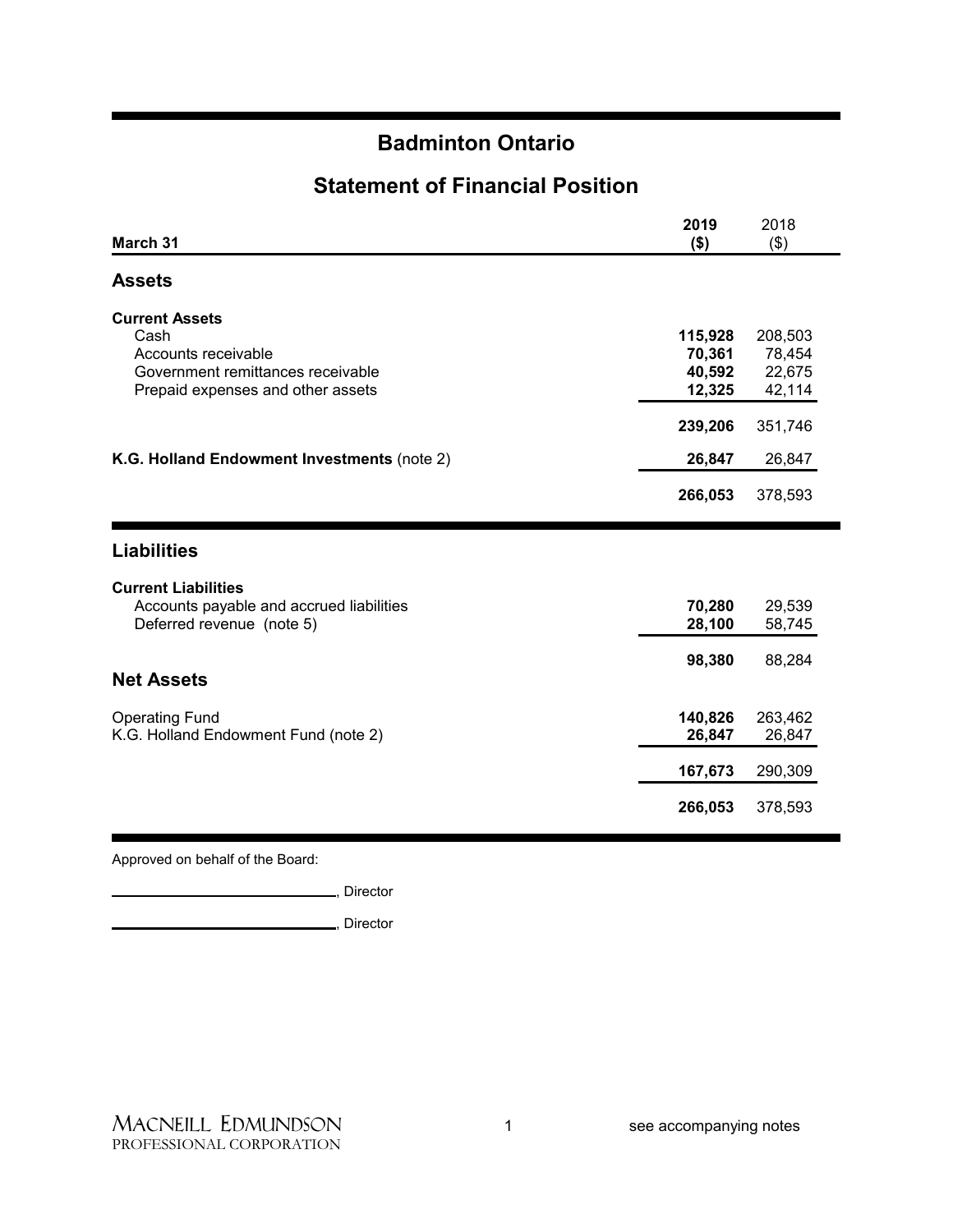### **Statement of Financial Position**

| March 31                                                                                                                       | 2019<br>$($ \$)                       | 2018<br>(3)                           |
|--------------------------------------------------------------------------------------------------------------------------------|---------------------------------------|---------------------------------------|
| <b>Assets</b>                                                                                                                  |                                       |                                       |
| <b>Current Assets</b><br>Cash<br>Accounts receivable<br>Government remittances receivable<br>Prepaid expenses and other assets | 115,928<br>70,361<br>40,592<br>12,325 | 208,503<br>78,454<br>22,675<br>42,114 |
|                                                                                                                                | 239,206                               | 351,746                               |
| K.G. Holland Endowment Investments (note 2)                                                                                    | 26,847                                | 26,847                                |
|                                                                                                                                | 266,053                               | 378,593                               |
| <b>Liabilities</b>                                                                                                             |                                       |                                       |
|                                                                                                                                |                                       |                                       |
| <b>Current Liabilities</b><br>Accounts payable and accrued liabilities<br>Deferred revenue (note 5)                            | 70,280<br>28,100                      | 29,539<br>58,745                      |
| <b>Net Assets</b>                                                                                                              | 98,380                                | 88,284                                |
| <b>Operating Fund</b><br>K.G. Holland Endowment Fund (note 2)                                                                  | 140,826<br>26,847                     | 263,462<br>26,847                     |
|                                                                                                                                | 167,673                               | 290,309                               |

Approved on behalf of the Board:

, Director

, Director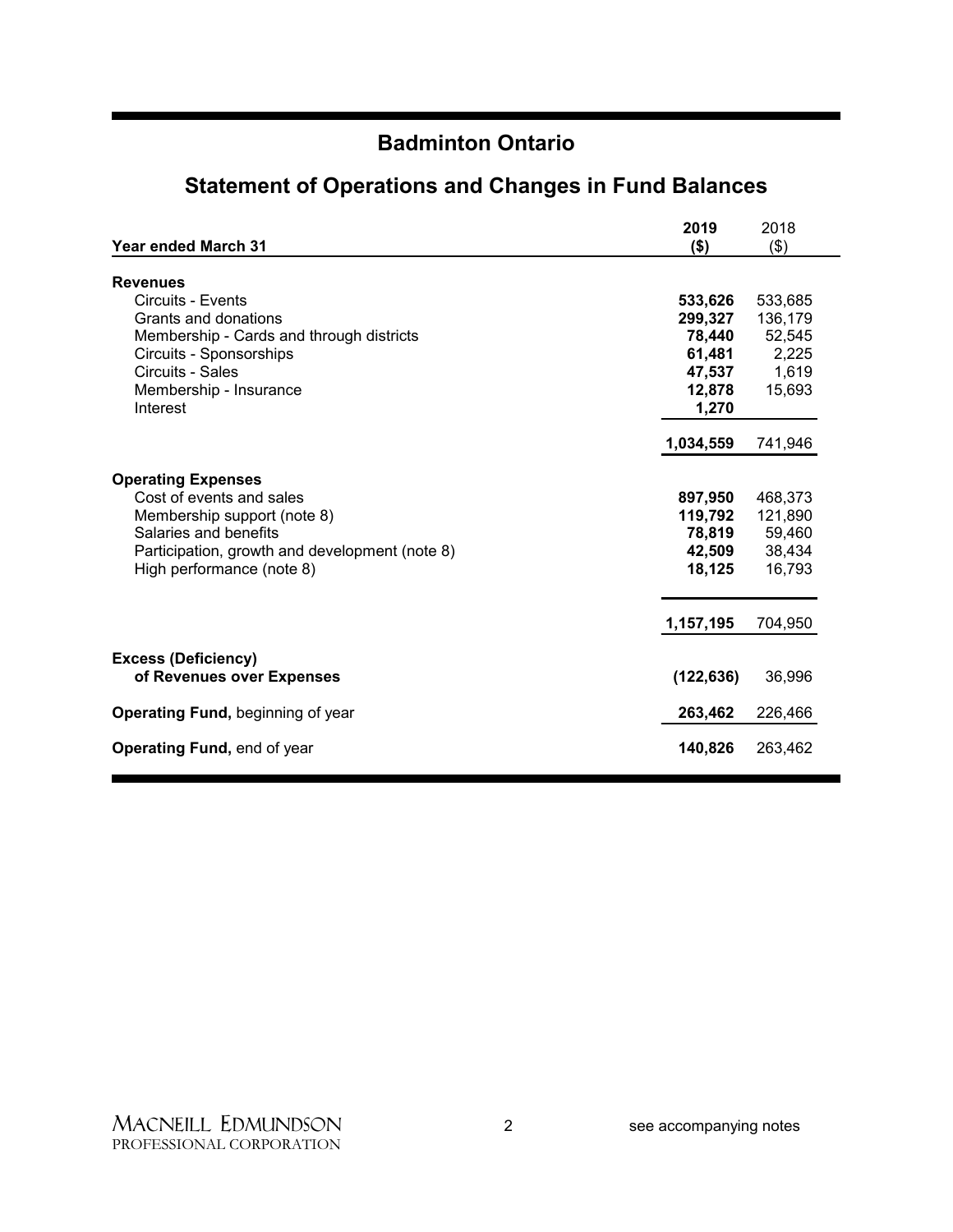| <b>Year ended March 31</b>                     | 2019<br>$($ \$) | 2018<br>(3) |
|------------------------------------------------|-----------------|-------------|
| <b>Revenues</b>                                |                 |             |
| Circuits - Events                              | 533,626         | 533,685     |
| Grants and donations                           | 299,327         | 136,179     |
| Membership - Cards and through districts       | 78,440          | 52,545      |
| Circuits - Sponsorships                        | 61,481          | 2,225       |
| Circuits - Sales                               | 47,537          | 1,619       |
| Membership - Insurance                         | 12,878          | 15,693      |
| Interest                                       | 1,270           |             |
|                                                | 1,034,559       | 741,946     |
| <b>Operating Expenses</b>                      |                 |             |
| Cost of events and sales                       | 897,950         | 468,373     |
| Membership support (note 8)                    | 119,792         | 121,890     |
| Salaries and benefits                          | 78,819          | 59,460      |
| Participation, growth and development (note 8) | 42,509          | 38,434      |
| High performance (note 8)                      | 18,125          | 16,793      |
|                                                | 1,157,195       | 704,950     |
| <b>Excess (Deficiency)</b>                     |                 |             |
| of Revenues over Expenses                      | (122, 636)      | 36,996      |
| <b>Operating Fund, beginning of year</b>       | 263,462         | 226,466     |
| <b>Operating Fund, end of year</b>             | 140,826         | 263,462     |

## **Statement of Operations and Changes in Fund Balances**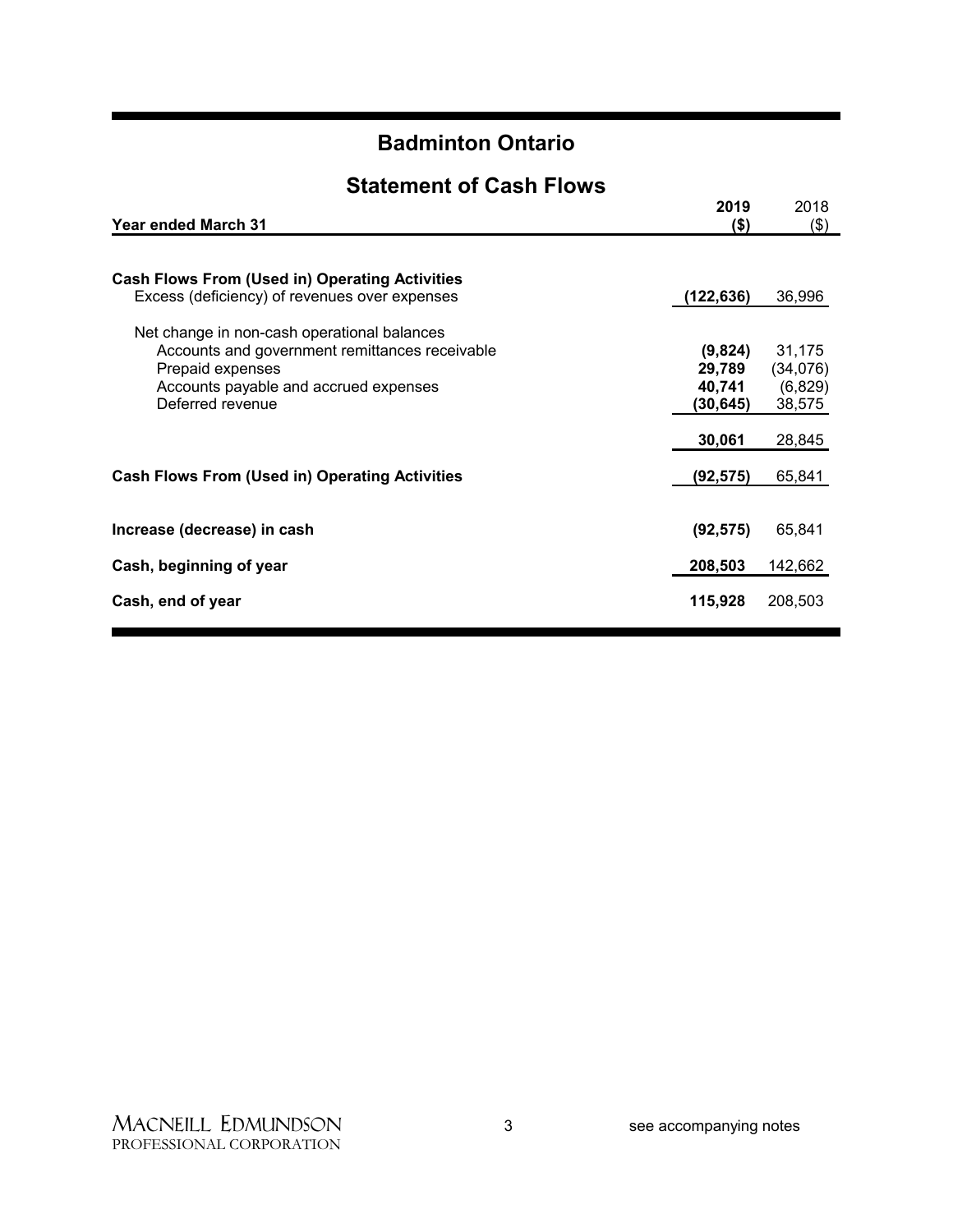### **Statement of Cash Flows**

| <b>Year ended March 31</b>                                                                                                                                                     | 2019<br>$($ \$)                          | 2018<br>(3)                              |
|--------------------------------------------------------------------------------------------------------------------------------------------------------------------------------|------------------------------------------|------------------------------------------|
| <b>Cash Flows From (Used in) Operating Activities</b><br>Excess (deficiency) of revenues over expenses                                                                         | (122,636)                                | 36,996                                   |
| Net change in non-cash operational balances<br>Accounts and government remittances receivable<br>Prepaid expenses<br>Accounts payable and accrued expenses<br>Deferred revenue | (9,824)<br>29,789<br>40,741<br>(30, 645) | 31,175<br>(34, 076)<br>(6,829)<br>38,575 |
|                                                                                                                                                                                | 30,061                                   | 28,845                                   |
| <b>Cash Flows From (Used in) Operating Activities</b>                                                                                                                          | (92, 575)                                | 65,841                                   |
| Increase (decrease) in cash                                                                                                                                                    | (92, 575)                                | 65,841                                   |
| Cash, beginning of year                                                                                                                                                        | 208,503                                  | 142,662                                  |
| Cash, end of year                                                                                                                                                              | 115,928                                  | 208,503                                  |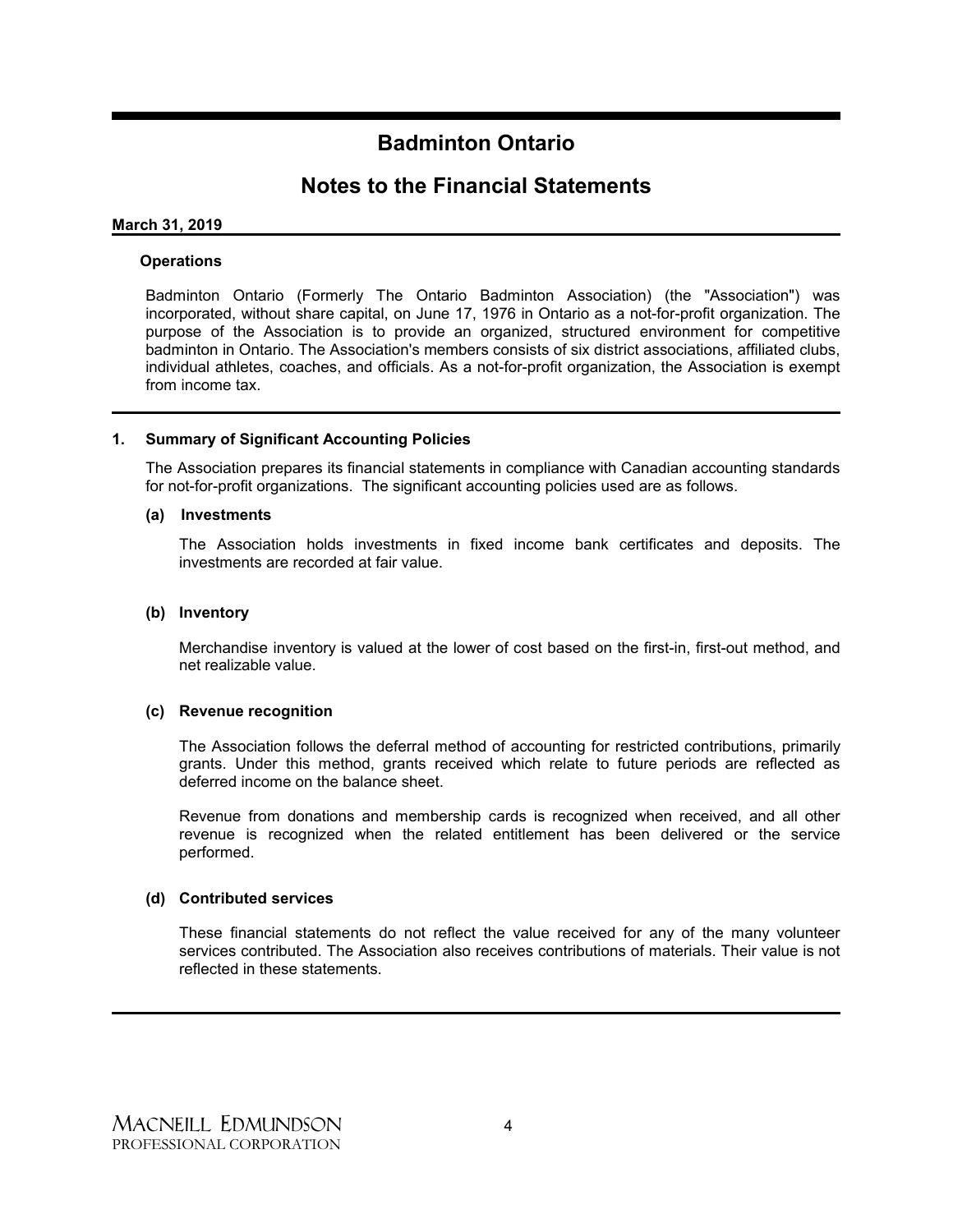### **Notes to the Financial Statements**

### **March 31, 2019**

### **Operations**

Badminton Ontario (Formerly The Ontario Badminton Association) (the "Association") was incorporated, without share capital, on June 17, 1976 in Ontario as a not-for-profit organization. The purpose of the Association is to provide an organized, structured environment for competitive badminton in Ontario. The Association's members consists of six district associations, affiliated clubs, individual athletes, coaches, and officials. As a not-for-profit organization, the Association is exempt from income tax.

### **1. Summary of Significant Accounting Policies**

The Association prepares its financial statements in compliance with Canadian accounting standards for not-for-profit organizations. The significant accounting policies used are as follows.

### **(a) Investments**

The Association holds investments in fixed income bank certificates and deposits. The investments are recorded at fair value.

### **(b) Inventory**

Merchandise inventory is valued at the lower of cost based on the first-in, first-out method, and net realizable value.

### **(c) Revenue recognition**

The Association follows the deferral method of accounting for restricted contributions, primarily grants. Under this method, grants received which relate to future periods are reflected as deferred income on the balance sheet.

Revenue from donations and membership cards is recognized when received, and all other revenue is recognized when the related entitlement has been delivered or the service performed.

### **(d) Contributed services**

These financial statements do not reflect the value received for any of the many volunteer services contributed. The Association also receives contributions of materials. Their value is not reflected in these statements.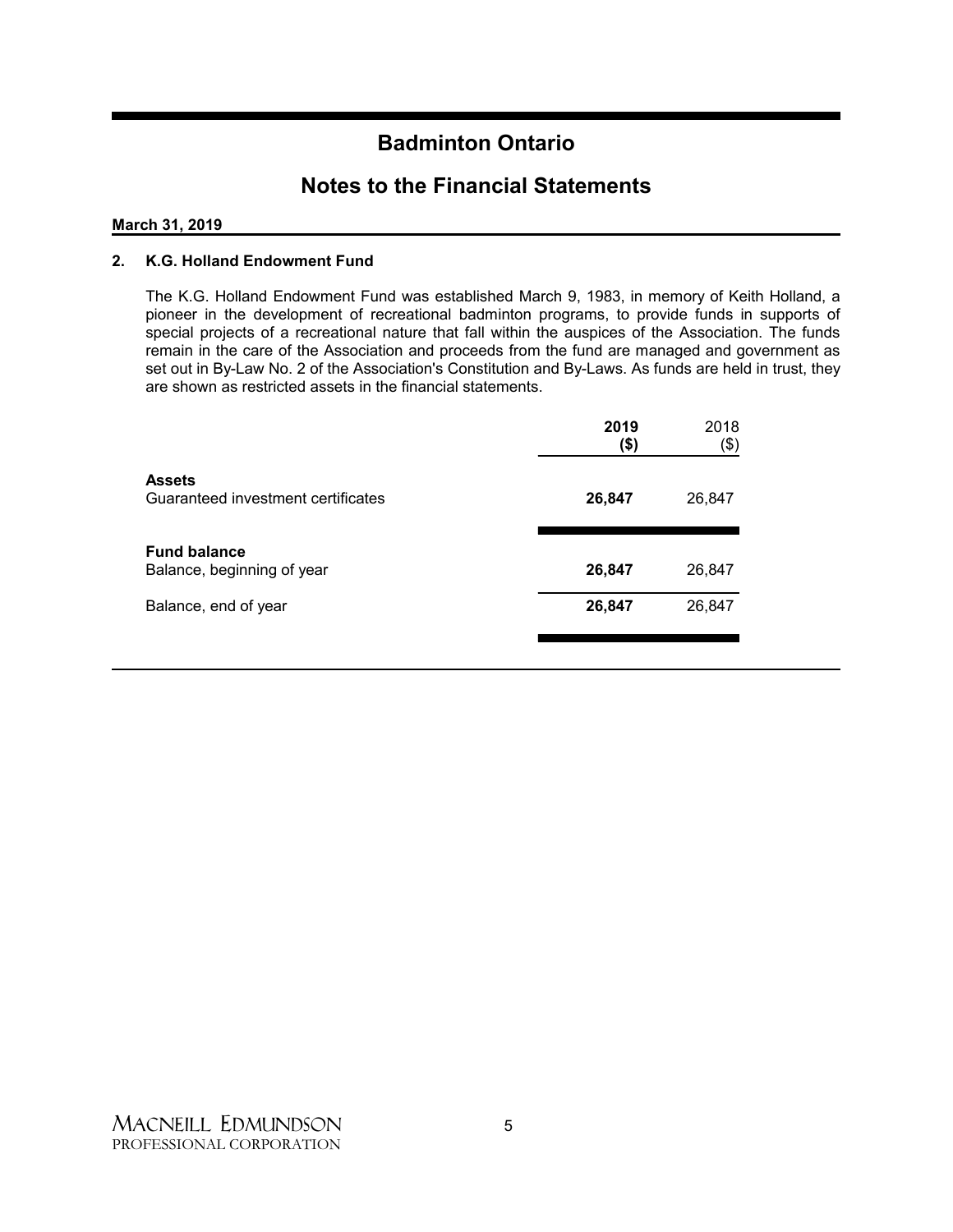### **Notes to the Financial Statements**

### **March 31, 2019**

### **2. K.G. Holland Endowment Fund**

The K.G. Holland Endowment Fund was established March 9, 1983, in memory of Keith Holland, a pioneer in the development of recreational badminton programs, to provide funds in supports of special projects of a recreational nature that fall within the auspices of the Association. The funds remain in the care of the Association and proceeds from the fund are managed and government as set out in By-Law No. 2 of the Association's Constitution and By-Laws. As funds are held in trust, they are shown as restricted assets in the financial statements.

|                                                     | 2019<br>(\$) | 2018<br>(3) |
|-----------------------------------------------------|--------------|-------------|
| <b>Assets</b><br>Guaranteed investment certificates | 26,847       | 26,847      |
| <b>Fund balance</b><br>Balance, beginning of year   | 26,847       | 26,847      |
| Balance, end of year                                | 26,847       | 26,847      |
|                                                     |              |             |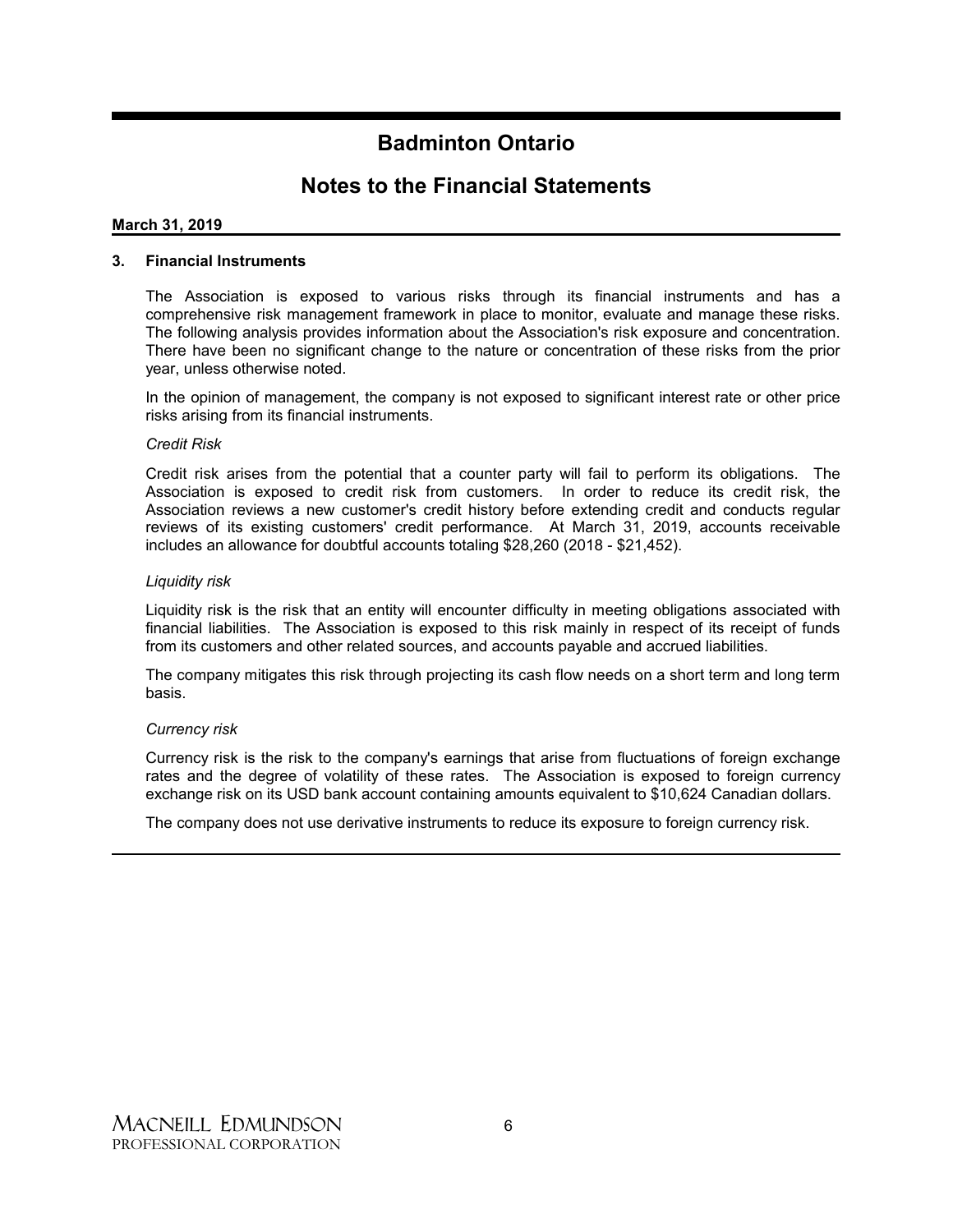### **Notes to the Financial Statements**

### **March 31, 2019**

### **3. Financial Instruments**

The Association is exposed to various risks through its financial instruments and has a comprehensive risk management framework in place to monitor, evaluate and manage these risks. The following analysis provides information about the Association's risk exposure and concentration. There have been no significant change to the nature or concentration of these risks from the prior year, unless otherwise noted.

In the opinion of management, the company is not exposed to significant interest rate or other price risks arising from its financial instruments.

#### *Credit Risk*

Credit risk arises from the potential that a counter party will fail to perform its obligations. The Association is exposed to credit risk from customers. In order to reduce its credit risk, the Association reviews a new customer's credit history before extending credit and conducts regular reviews of its existing customers' credit performance. At March 31, 2019, accounts receivable includes an allowance for doubtful accounts totaling \$28,260 (2018 - \$21,452).

#### *Liquidity risk*

Liquidity risk is the risk that an entity will encounter difficulty in meeting obligations associated with financial liabilities. The Association is exposed to this risk mainly in respect of its receipt of funds from its customers and other related sources, and accounts payable and accrued liabilities.

The company mitigates this risk through projecting its cash flow needs on a short term and long term basis.

### *Currency risk*

Currency risk is the risk to the company's earnings that arise from fluctuations of foreign exchange rates and the degree of volatility of these rates. The Association is exposed to foreign currency exchange risk on its USD bank account containing amounts equivalent to \$10,624 Canadian dollars.

The company does not use derivative instruments to reduce its exposure to foreign currency risk.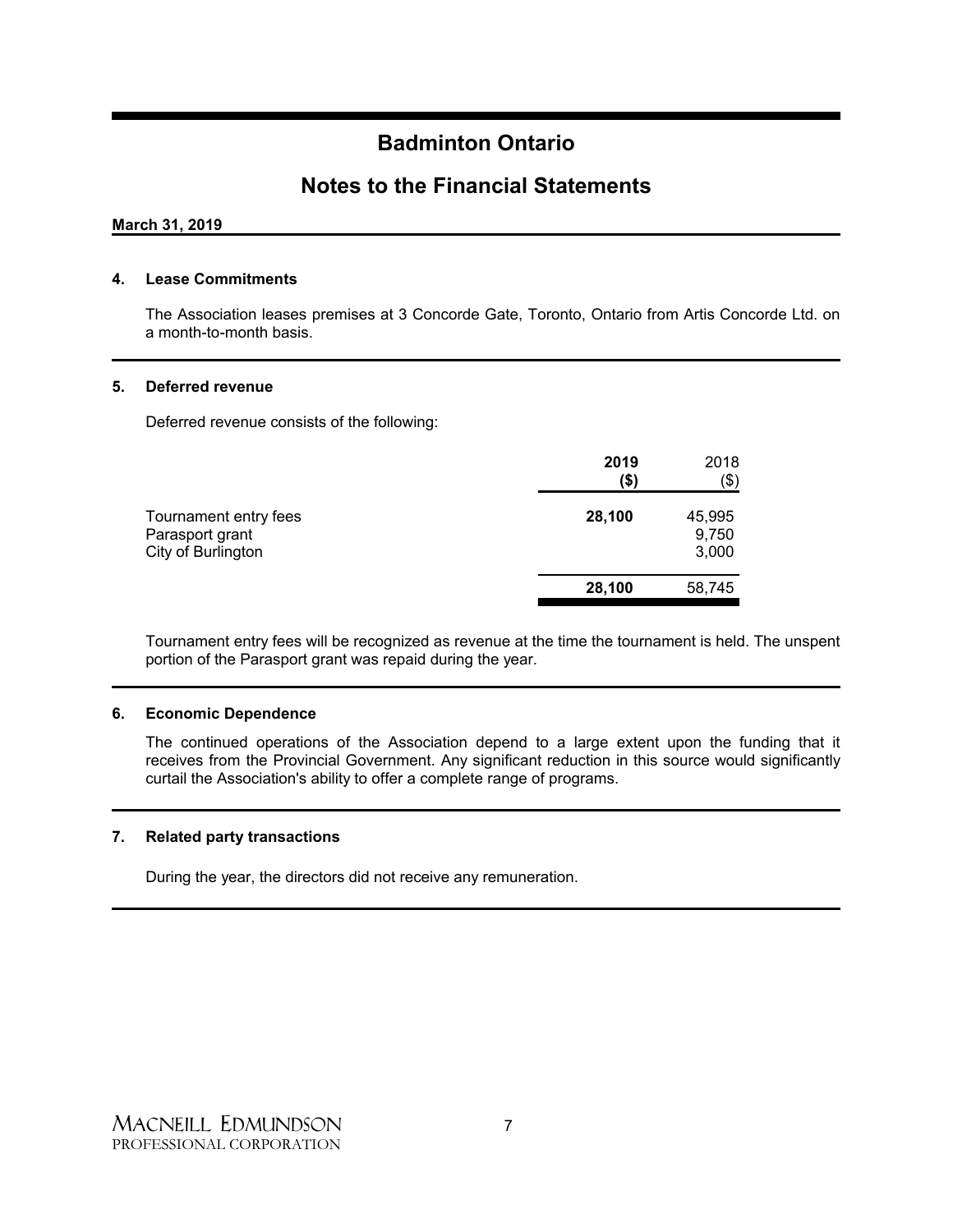### **Notes to the Financial Statements**

### **March 31, 2019**

### **4. Lease Commitments**

The Association leases premises at 3 Concorde Gate, Toronto, Ontario from Artis Concorde Ltd. on a month-to-month basis.

### **5. Deferred revenue**

Deferred revenue consists of the following:

|                                                                | 2019<br>(\$) | 2018<br>$(\$)$           |
|----------------------------------------------------------------|--------------|--------------------------|
| Tournament entry fees<br>Parasport grant<br>City of Burlington | 28,100       | 45,995<br>9,750<br>3,000 |
|                                                                | 28,100       | 58,745                   |

Tournament entry fees will be recognized as revenue at the time the tournament is held. The unspent portion of the Parasport grant was repaid during the year.

### **6. Economic Dependence**

The continued operations of the Association depend to a large extent upon the funding that it receives from the Provincial Government. Any significant reduction in this source would significantly curtail the Association's ability to offer a complete range of programs.

### **7. Related party transactions**

During the year, the directors did not receive any remuneration.